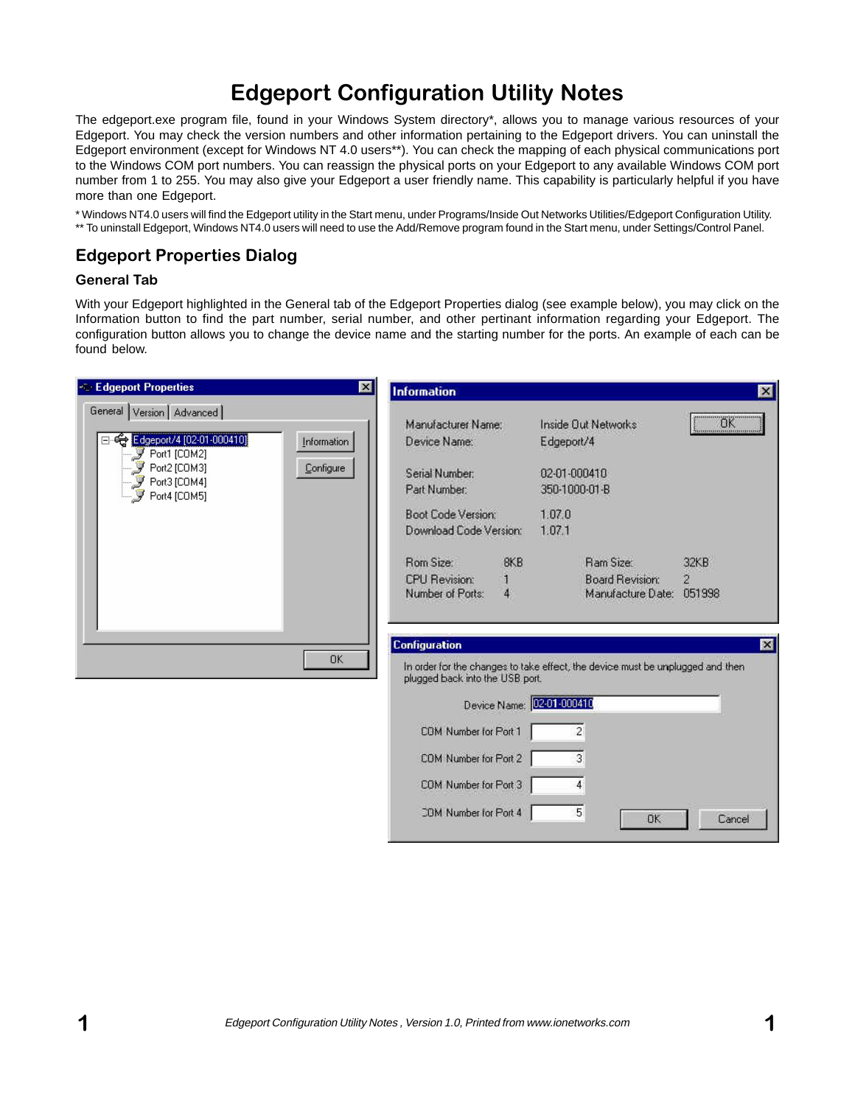# Edgeport Configuration Utility Notes

The edgeport.exe program file, found in your Windows System directory\*, allows you to manage various resources of your Edgeport. You may check the version numbers and other information pertaining to the Edgeport drivers. You can uninstall the Edgeport environment (except for Windows NT 4.0 users\*\*). You can check the mapping of each physical communications port to the Windows COM port numbers. You can reassign the physical ports on your Edgeport to any available Windows COM port number from 1 to 255. You may also give your Edgeport a user friendly name. This capability is particularly helpful if you have more than one Edgeport.

\* Windows NT4.0 users will find the Edgeport utility in the Start menu, under Programs/Inside Out Networks Utilities/Edgeport Configuration Utility. \*\* To uninstall Edgeport, Windows NT4.0 users will need to use the Add/Remove program found in the Start menu, under Settings/Control Panel.

# Edgeport Properties Dialog

#### General Tab

With your Edgeport highlighted in the General tab of the Edgeport Properties dialog (see example below), you may click on the Information button to find the part number, serial number, and other pertinant information regarding your Edgeport. The configuration button allows you to change the device name and the starting number for the ports. An example of each can be found below.

| <b>Edgeport Properties</b><br>$\vert x \vert$                                                                                                         | <b>Information</b>                                                                                                                                                     | $\vert x \vert$          |
|-------------------------------------------------------------------------------------------------------------------------------------------------------|------------------------------------------------------------------------------------------------------------------------------------------------------------------------|--------------------------|
| General Version   Advanced  <br>← Edgeport/4 [02-01-000410]<br>Information<br>Port1 [COM2]<br>Port2 [COM3]<br>Configure<br>$\mathcal{F}$ Port3 [COM4] | Manufacturer Name:<br>Inside Out Networks<br>Device Name:<br>Edgeport/4<br>02-01-000410<br>Serial Number:<br>Part Number:<br>350-1000-01-B                             | OR<br>                   |
| $\mathcal{F}$ Port4 [COM5]                                                                                                                            | Boot Code Version:<br>1.07.0<br>Download Code Version:<br>1.07.1<br>8KB<br>Rom Size:<br>Ram Size:                                                                      | 32KB                     |
|                                                                                                                                                       | <b>CPU Revision:</b><br><b>Board Revision:</b><br>Number of Ports:<br>4<br>Manufacture Date:                                                                           | $\overline{2}$<br>051998 |
| <b>OK</b>                                                                                                                                             | <b>Configuration</b><br>In order for the changes to take effect, the device must be unplugged and then<br>plugged back into the USB port.<br>Device Name: 02-01-000410 | $\mathbf{x}$             |
|                                                                                                                                                       | COM Number for Port 1<br>$\overline{c}$                                                                                                                                |                          |
|                                                                                                                                                       | COM Number for Port 2<br>3                                                                                                                                             |                          |
|                                                                                                                                                       | COM Number for Port 3<br>4<br>5<br>COM Number for Port 4                                                                                                               | <b>OK</b><br>Cancel      |